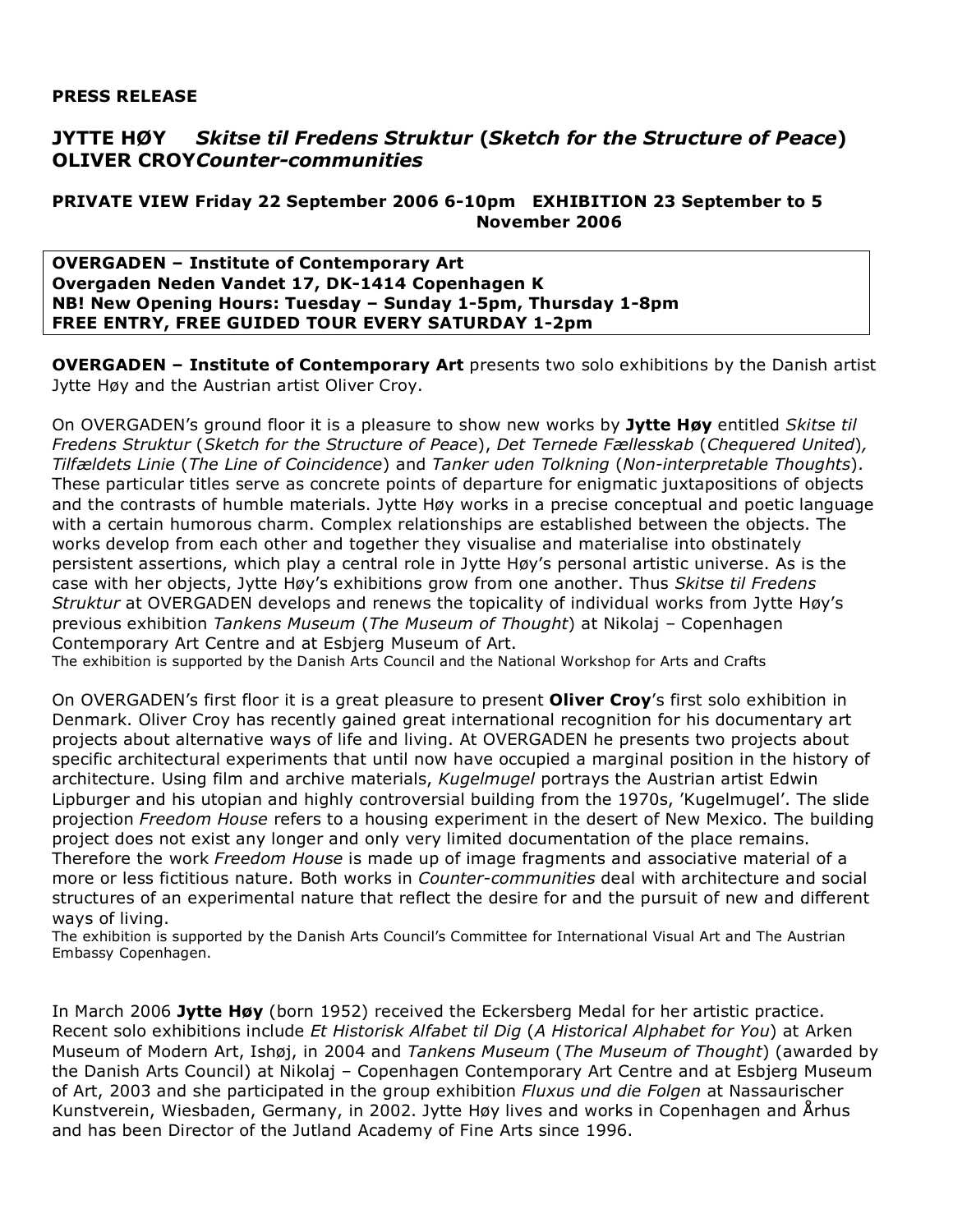## **PRESS RELEASE**

## **JYTTE HØY** *Skitse til Fredens Struktur* **(***Sketch for the Structure of Peace***) OLIVER CROY***Counter-communities*

## **PRIVATE VIEW Friday 22 September 2006 6-10pm EXHIBITION 23 September to 5 November 2006**

**OVERGADEN – Institute of Contemporary Art Overgaden Neden Vandet 17, DK-1414 Copenhagen K NB! New Opening Hours: Tuesday – Sunday 1-5pm, Thursday 1-8pm FREE ENTRY, FREE GUIDED TOUR EVERY SATURDAY 1-2pm**

**OVERGADEN – Institute of Contemporary Art** presents two solo exhibitions by the Danish artist Jytte Høy and the Austrian artist Oliver Croy.

On OVERGADEN's ground floor it is a pleasure to show new works by **Jytte Høy** entitled *Skitse til Fredens Struktur* (*Sketch for the Structure of Peace*), *Det Ternede Fællesskab* (*Chequered United*)*, Tilfældets Linie* (*The Line of Coincidence*) and *Tanker uden Tolkning* (*Non-interpretable Thoughts*). These particular titles serve as concrete points of departure for enigmatic juxtapositions of objects and the contrasts of humble materials. Jytte Høy works in a precise conceptual and poetic language with a certain humorous charm. Complex relationships are established between the objects. The works develop from each other and together they visualise and materialise into obstinately persistent assertions, which play a central role in Jytte Høy's personal artistic universe. As is the case with her objects, Jytte Høy's exhibitions grow from one another. Thus *Skitse til Fredens Struktur* at OVERGADEN develops and renews the topicality of individual works from Jytte Høy's previous exhibition *Tankens Museum* (*The Museum of Thought*) at Nikolaj – Copenhagen Contemporary Art Centre and at Esbjerg Museum of Art.

The exhibition is supported by the Danish Arts Council and the National Workshop for Arts and Crafts

On OVERGADEN's first floor it is a great pleasure to present **Oliver Croy**'s first solo exhibition in Denmark. Oliver Croy has recently gained great international recognition for his documentary art projects about alternative ways of life and living. At OVERGADEN he presents two projects about specific architectural experiments that until now have occupied a marginal position in the history of architecture. Using film and archive materials, *Kugelmugel* portrays the Austrian artist Edwin Lipburger and his utopian and highly controversial building from the 1970s, 'Kugelmugel'. The slide projection *Freedom House* refers to a housing experiment in the desert of New Mexico. The building project does not exist any longer and only very limited documentation of the place remains. Therefore the work *Freedom House* is made up of image fragments and associative material of a more or less fictitious nature. Both works in *Counter-communities* deal with architecture and social structures of an experimental nature that reflect the desire for and the pursuit of new and different ways of living.

The exhibition is supported by the Danish Arts Council's Committee for International Visual Art and The Austrian Embassy Copenhagen.

In March 2006 **Jytte Høy** (born 1952) received the Eckersberg Medal for her artistic practice. Recent solo exhibitions include *Et Historisk Alfabet til Dig* (*A Historical Alphabet for You*) at Arken Museum of Modern Art, Ishøj, in 2004 and *Tankens Museum* (*The Museum of Thought*) (awarded by the Danish Arts Council) at Nikolaj – Copenhagen Contemporary Art Centre and at Esbjerg Museum of Art, 2003 and she participated in the group exhibition *Fluxus und die Folgen* at Nassaurischer Kunstverein, Wiesbaden, Germany, in 2002. Jytte Høy lives and works in Copenhagen and Århus and has been Director of the Jutland Academy of Fine Arts since 1996.